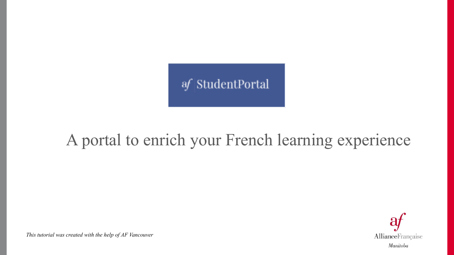

#### A portal to enrich your French learning experience



*This tutorial was created with the help of AF Vancouver*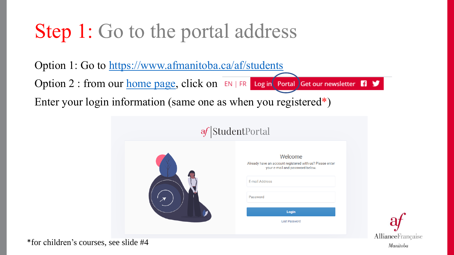## Step 1: Go to the portal address

Option 1: Go to<https://www.afmanitoba.ca/af/students> Option 2 : from our [home page,](http://www.afmanitoba.ca/) click on  $E[N]$  FR Log in Portal Get our newsletter  $\Psi$ Enter your login information (same one as when you registered\*)





\*for children's courses, see slide #4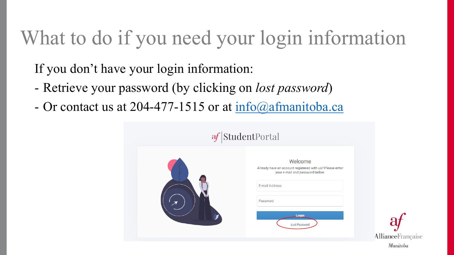# What to do if you need your login information

If you don't have your login information:

- Retrieve your password (by clicking on *lost password*)
- Or contact us at 204-477-1515 or at [info@afmanitoba.ca](mailto:info@afmanitoba.ca)



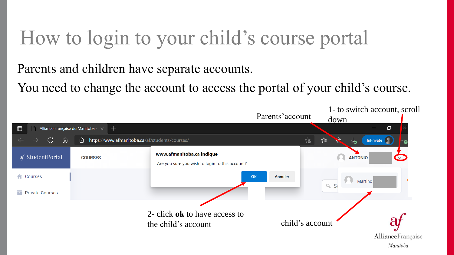#### How to login to your child's course portal

Parents and children have separate accounts.

You need to change the account to access the portal of your child's course.

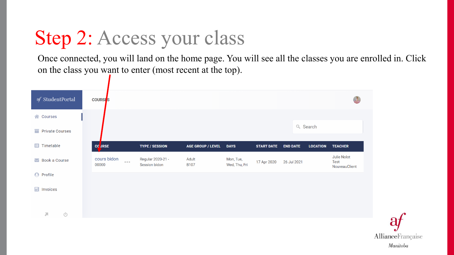# Step 2: Access your class

Once connected, you will land on the home page. You will see all the classes you are enrolled in. Click on the class you want to enter (most recent at the top).



AllianceFrançaise Manitoba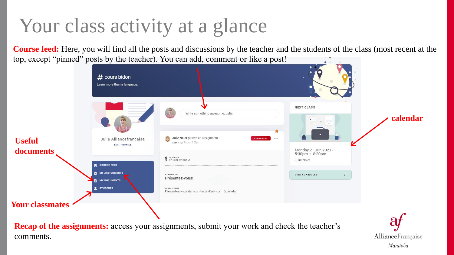## Your class activity at a glance

**Course feed:** Here, you will find all the posts and discussions by the teacher and the students of the class (most recent at the top, except "pinned" posts by the teacher). You can add, comment or like a post!



**Recap of the assignments:** access your assignments, submit your work and check the teacher's comments.

AllianceFrançaise Manitoba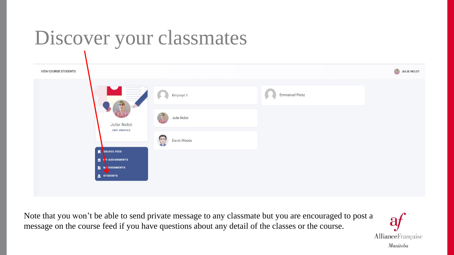# Discover your classmates

| <b>VIEW COURSE STUDENTS</b> |                                                                                                                                                                                                                                                                                                                                                                                                                                                                                                                                                                                                                                                                                                                                                                                                                                                                                                                                                                                                                                                                                                                                                                                                                                                                                                                                                                                                                                                                                                                  |                                     |                       | JULIE NOLOT |
|-----------------------------|------------------------------------------------------------------------------------------------------------------------------------------------------------------------------------------------------------------------------------------------------------------------------------------------------------------------------------------------------------------------------------------------------------------------------------------------------------------------------------------------------------------------------------------------------------------------------------------------------------------------------------------------------------------------------------------------------------------------------------------------------------------------------------------------------------------------------------------------------------------------------------------------------------------------------------------------------------------------------------------------------------------------------------------------------------------------------------------------------------------------------------------------------------------------------------------------------------------------------------------------------------------------------------------------------------------------------------------------------------------------------------------------------------------------------------------------------------------------------------------------------------------|-------------------------------------|-----------------------|-------------|
|                             | and the seat of<br>and the state of<br>$\frac{1}{2} \left( \frac{1}{2} \right) \left( \frac{1}{2} \right) \left( \frac{1}{2} \right) \left( \frac{1}{2} \right) \left( \frac{1}{2} \right) \left( \frac{1}{2} \right) \left( \frac{1}{2} \right) \left( \frac{1}{2} \right) \left( \frac{1}{2} \right) \left( \frac{1}{2} \right) \left( \frac{1}{2} \right) \left( \frac{1}{2} \right) \left( \frac{1}{2} \right) \left( \frac{1}{2} \right) \left( \frac{1}{2} \right) \left( \frac{1}{2} \right) \left( \frac$<br>$\frac{1}{2}$<br>$\frac{1}{2} \left( \frac{1}{2} \right) \left( \frac{1}{2} \right) \left( \frac{1}{2} \right) \left( \frac{1}{2} \right) \left( \frac{1}{2} \right) \left( \frac{1}{2} \right) \left( \frac{1}{2} \right) \left( \frac{1}{2} \right) \left( \frac{1}{2} \right) \left( \frac{1}{2} \right) \left( \frac{1}{2} \right) \left( \frac{1}{2} \right) \left( \frac{1}{2} \right) \left( \frac{1}{2} \right) \left( \frac{1}{2} \right) \left( \frac{1}{2} \right) \left( \frac$<br>$\frac{1}{2} \left( \frac{1}{2} \right) \left( \frac{1}{2} \right) \left( \frac{1}{2} \right) \left( \frac{1}{2} \right) \left( \frac{1}{2} \right) \left( \frac{1}{2} \right) \left( \frac{1}{2} \right) \left( \frac{1}{2} \right) \left( \frac{1}{2} \right) \left( \frac{1}{2} \right) \left( \frac{1}{2} \right) \left( \frac{1}{2} \right) \left( \frac{1}{2} \right) \left( \frac{1}{2} \right) \left( \frac{1}{2} \right) \left( \frac{1}{2} \right) \left( \frac$<br><b>Service</b> | Employé 1                           | <b>Emmanuel Perez</b> |             |
|                             | Julie Nolot<br><b>EDIT PROFILE</b>                                                                                                                                                                                                                                                                                                                                                                                                                                                                                                                                                                                                                                                                                                                                                                                                                                                                                                                                                                                                                                                                                                                                                                                                                                                                                                                                                                                                                                                                               | Julie Nolot                         |                       |             |
|                             | $\blacksquare$<br><b>COURSE FEED</b>                                                                                                                                                                                                                                                                                                                                                                                                                                                                                                                                                                                                                                                                                                                                                                                                                                                                                                                                                                                                                                                                                                                                                                                                                                                                                                                                                                                                                                                                             | $\sqrt{\frac{1}{2}}$<br>David Woods |                       |             |
|                             | IT ASSIGNMENTS<br>M DOCUMENTS<br>STUDENTS                                                                                                                                                                                                                                                                                                                                                                                                                                                                                                                                                                                                                                                                                                                                                                                                                                                                                                                                                                                                                                                                                                                                                                                                                                                                                                                                                                                                                                                                        |                                     |                       |             |

Note that you won't be able to send private message to any classmate but you are encouraged to post a message on the course feed if you have questions about any detail of the classes or the course.

 $\bf{d}$ AllianceFrançaise Manitoba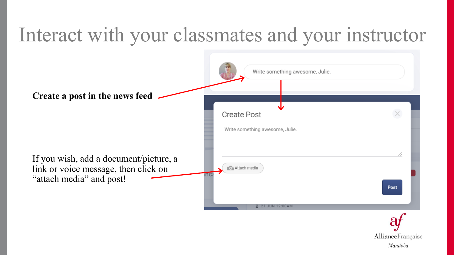#### Interact with your classmates and your instructor



Manitoba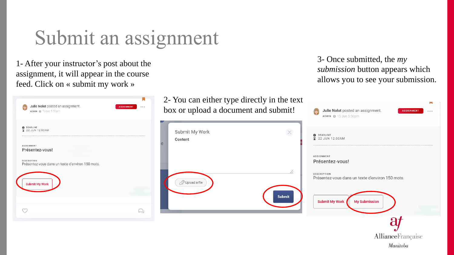#### Submit an assignment

1- After your instructor's post about the assignment, it will appear in the course feed. Click on « submit my work »

| Julie Nolot posted an assignment.<br>ADMIN @ Today 5:50pm       | <b>ASSIGNMENT</b><br>0.0.0 |
|-----------------------------------------------------------------|----------------------------|
| <b>O</b> DEADLINE<br>22 JUN 12:00AM<br>⊻                        |                            |
| <b>ASSIGNMENT</b><br>Présentez-vous!                            |                            |
| DESCRIPTION<br>Présentez-vous dans un texte d'environ 150 mots. |                            |
| <b>Submit My Work</b>                                           |                            |
|                                                                 |                            |
|                                                                 |                            |

2- You can either type directly in the text box or upload a document and subn

Submit My Work Content D Upload a file Sul 3- Once submitted, the *my submission* button appears which allows you to see your submission.

| mit! | Julie Nolot posted an assignment.<br><b>ASSIGNMENT</b><br>0.0.0<br>ADMIN @ 15 Jun 5:50pm |
|------|------------------------------------------------------------------------------------------|
|      | DEADLINE<br>2 22 JUN 12:00AM                                                             |
| //   | <b>ASSIGNMENT</b><br>Présentez-vous!                                                     |
|      | <b>DESCRIPTION</b><br>Présentez-vous dans un texte d'environ 150 mots.                   |
| bmit | <b>Submit My Work</b><br><b>My Submission</b>                                            |
|      |                                                                                          |
|      | AllianceFrançaise                                                                        |
|      | Manitoba                                                                                 |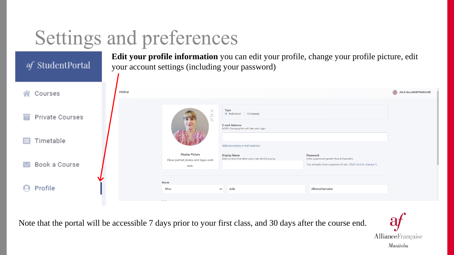# Settings and preferences

| af StudentPortal |                |                                                                         | your account settings (including your password)                                                                            | Edit your profile information you can edit your profile, change your profile picture, edit                                 |                                |
|------------------|----------------|-------------------------------------------------------------------------|----------------------------------------------------------------------------------------------------------------------------|----------------------------------------------------------------------------------------------------------------------------|--------------------------------|
| Courses          | <b>PROFILE</b> |                                                                         |                                                                                                                            |                                                                                                                            | <b>JULIE ALLIANCEFRANCAISE</b> |
| Private Courses  |                | ×<br>$\triangle$<br>$\mathop{\hbox{$\sqcup$}}\nolimits$                 | <b>Type</b><br>$\bullet$ Individual $\circ$ Company<br><b>E-mail Address</b><br>NOTE: Changing this will alter your login. |                                                                                                                            |                                |
| Timetable<br>⊫   |                |                                                                         | Add secondary e-mail address                                                                                               |                                                                                                                            |                                |
| Book a Course    |                | <b>Display Picture</b><br>Close portrait photos and logos work<br>best. | <b>Display Name</b><br>Enter a name that other users can identify you by.                                                  | <b>Password</b><br>Enter a password greater than 4 characters<br>You already have a password set. Click here to change it. |                                |
| Profile          |                | <b>Name</b><br>Miss                                                     | Julie<br>$\checkmark$                                                                                                      | Alliancefrancaise                                                                                                          |                                |

Note that the portal will be accessible 7 days prior to your first class, and 30 days after the course end.

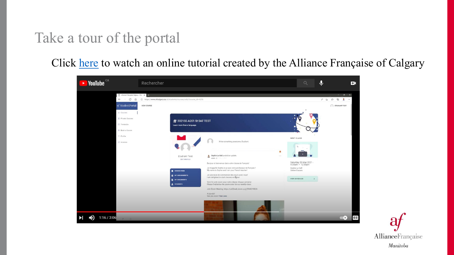#### Take a tour of the portal

Click [here](https://www.youtube.com/watch?v=KhmhYxjMsIg&t=22s) to watch an online tutorial created by the Alliance Française of Calgary



AllianceFrançaise Manitoba